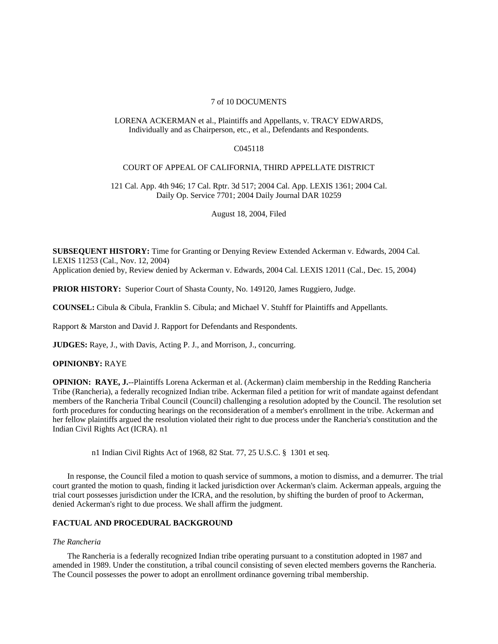## 7 of 10 DOCUMENTS

## LORENA ACKERMAN et al., Plaintiffs and Appellants, v. TRACY EDWARDS, Individually and as Chairperson, etc., et al., Defendants and Respondents.

## C045118

#### COURT OF APPEAL OF CALIFORNIA, THIRD APPELLATE DISTRICT

121 Cal. App. 4th 946; 17 Cal. Rptr. 3d 517; 2004 Cal. App. LEXIS 1361; 2004 Cal. Daily Op. Service 7701; 2004 Daily Journal DAR 10259

August 18, 2004, Filed

**SUBSEQUENT HISTORY:** Time for Granting or Denying Review Extended Ackerman v. Edwards, 2004 Cal. LEXIS 11253 (Cal., Nov. 12, 2004) Application denied by, Review denied by Ackerman v. Edwards, 2004 Cal. LEXIS 12011 (Cal., Dec. 15, 2004)

**PRIOR HISTORY:** Superior Court of Shasta County, No. 149120, James Ruggiero, Judge.

**COUNSEL:** Cibula & Cibula, Franklin S. Cibula; and Michael V. Stuhff for Plaintiffs and Appellants.

Rapport & Marston and David J. Rapport for Defendants and Respondents.

**JUDGES:** Raye, J., with Davis, Acting P. J., and Morrison, J., concurring.

## **OPINIONBY:** RAYE

**OPINION: RAYE, J.**--Plaintiffs Lorena Ackerman et al. (Ackerman) claim membership in the Redding Rancheria Tribe (Rancheria), a federally recognized Indian tribe. Ackerman filed a petition for writ of mandate against defendant members of the Rancheria Tribal Council (Council) challenging a resolution adopted by the Council. The resolution set forth procedures for conducting hearings on the reconsideration of a member's enrollment in the tribe. Ackerman and her fellow plaintiffs argued the resolution violated their right to due process under the Rancheria's constitution and the Indian Civil Rights Act (ICRA). n1

n1 Indian Civil Rights Act of 1968, 82 Stat. 77, 25 U.S.C. § 1301 et seq.

In response, the Council filed a motion to quash service of summons, a motion to dismiss, and a demurrer. The trial court granted the motion to quash, finding it lacked jurisdiction over Ackerman's claim. Ackerman appeals, arguing the trial court possesses jurisdiction under the ICRA, and the resolution, by shifting the burden of proof to Ackerman, denied Ackerman's right to due process. We shall affirm the judgment.

# **FACTUAL AND PROCEDURAL BACKGROUND**

## *The Rancheria*

The Rancheria is a federally recognized Indian tribe operating pursuant to a constitution adopted in 1987 and amended in 1989. Under the constitution, a tribal council consisting of seven elected members governs the Rancheria. The Council possesses the power to adopt an enrollment ordinance governing tribal membership.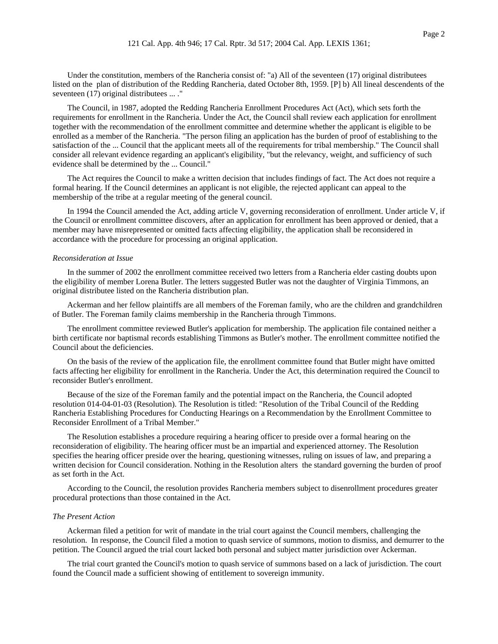The Council, in 1987, adopted the Redding Rancheria Enrollment Procedures Act (Act), which sets forth the requirements for enrollment in the Rancheria. Under the Act, the Council shall review each application for enrollment together with the recommendation of the enrollment committee and determine whether the applicant is eligible to be enrolled as a member of the Rancheria. "The person filing an application has the burden of proof of establishing to the satisfaction of the ... Council that the applicant meets all of the requirements for tribal membership." The Council shall consider all relevant evidence regarding an applicant's eligibility, "but the relevancy, weight, and sufficiency of such evidence shall be determined by the ... Council."

The Act requires the Council to make a written decision that includes findings of fact. The Act does not require a formal hearing. If the Council determines an applicant is not eligible, the rejected applicant can appeal to the membership of the tribe at a regular meeting of the general council.

In 1994 the Council amended the Act, adding article V, governing reconsideration of enrollment. Under article V, if the Council or enrollment committee discovers, after an application for enrollment has been approved or denied, that a member may have misrepresented or omitted facts affecting eligibility, the application shall be reconsidered in accordance with the procedure for processing an original application.

### *Reconsideration at Issue*

In the summer of 2002 the enrollment committee received two letters from a Rancheria elder casting doubts upon the eligibility of member Lorena Butler. The letters suggested Butler was not the daughter of Virginia Timmons, an original distributee listed on the Rancheria distribution plan.

Ackerman and her fellow plaintiffs are all members of the Foreman family, who are the children and grandchildren of Butler. The Foreman family claims membership in the Rancheria through Timmons.

The enrollment committee reviewed Butler's application for membership. The application file contained neither a birth certificate nor baptismal records establishing Timmons as Butler's mother. The enrollment committee notified the Council about the deficiencies.

On the basis of the review of the application file, the enrollment committee found that Butler might have omitted facts affecting her eligibility for enrollment in the Rancheria. Under the Act, this determination required the Council to reconsider Butler's enrollment.

Because of the size of the Foreman family and the potential impact on the Rancheria, the Council adopted resolution 014-04-01-03 (Resolution). The Resolution is titled: "Resolution of the Tribal Council of the Redding Rancheria Establishing Procedures for Conducting Hearings on a Recommendation by the Enrollment Committee to Reconsider Enrollment of a Tribal Member."

The Resolution establishes a procedure requiring a hearing officer to preside over a formal hearing on the reconsideration of eligibility. The hearing officer must be an impartial and experienced attorney. The Resolution specifies the hearing officer preside over the hearing, questioning witnesses, ruling on issues of law, and preparing a written decision for Council consideration. Nothing in the Resolution alters the standard governing the burden of proof as set forth in the Act.

According to the Council, the resolution provides Rancheria members subject to disenrollment procedures greater procedural protections than those contained in the Act.

## *The Present Action*

Ackerman filed a petition for writ of mandate in the trial court against the Council members, challenging the resolution. In response, the Council filed a motion to quash service of summons, motion to dismiss, and demurrer to the petition. The Council argued the trial court lacked both personal and subject matter jurisdiction over Ackerman.

The trial court granted the Council's motion to quash service of summons based on a lack of jurisdiction. The court found the Council made a sufficient showing of entitlement to sovereign immunity.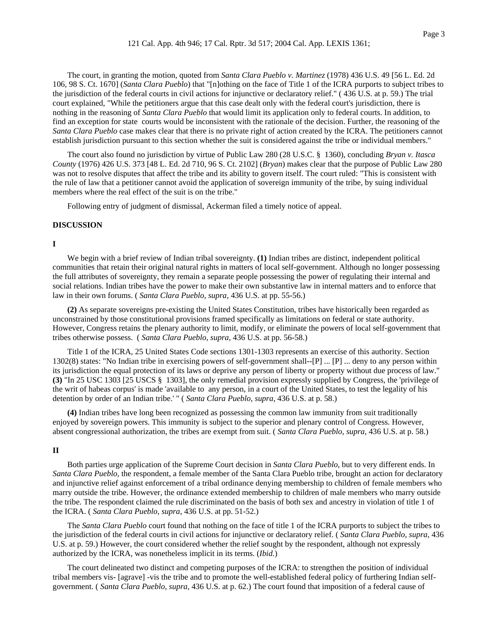The court, in granting the motion, quoted from *Santa Clara Pueblo v. Martinez* (1978) 436 U.S. 49 [56 L. Ed. 2d 106, 98 S. Ct. 1670] (*Santa Clara Pueblo*) that "[n]othing on the face of Title 1 of the ICRA purports to subject tribes to the jurisdiction of the federal courts in civil actions for injunctive or declaratory relief." ( 436 U.S. at p. 59.) The trial court explained, "While the petitioners argue that this case dealt only with the federal court's jurisdiction, there is nothing in the reasoning of *Santa Clara Pueblo* that would limit its application only to federal courts. In addition, to find an exception for state courts would be inconsistent with the rationale of the decision. Further, the reasoning of the *Santa Clara Pueblo* case makes clear that there is no private right of action created by the ICRA. The petitioners cannot establish jurisdiction pursuant to this section whether the suit is considered against the tribe or individual members."

The court also found no jurisdiction by virtue of Public Law 280 (28 U.S.C. § 1360), concluding *Bryan v. Itasca County* (1976) 426 U.S. 373 [48 L. Ed. 2d 710, 96 S. Ct. 2102] (*Bryan*) makes clear that the purpose of Public Law 280 was not to resolve disputes that affect the tribe and its ability to govern itself. The court ruled: "This is consistent with the rule of law that a petitioner cannot avoid the application of sovereign immunity of the tribe, by suing individual members where the real effect of the suit is on the tribe."

Following entry of judgment of dismissal, Ackerman filed a timely notice of appeal.

#### **DISCUSSION**

## **I**

We begin with a brief review of Indian tribal sovereignty. **(1)** Indian tribes are distinct, independent political communities that retain their original natural rights in matters of local self-government. Although no longer possessing the full attributes of sovereignty, they remain a separate people possessing the power of regulating their internal and social relations. Indian tribes have the power to make their own substantive law in internal matters and to enforce that law in their own forums. ( *Santa Clara Pueblo*, *supra*, 436 U.S. at pp. 55-56.)

**(2)** As separate sovereigns pre-existing the United States Constitution, tribes have historically been regarded as unconstrained by those constitutional provisions framed specifically as limitations on federal or state authority. However, Congress retains the plenary authority to limit, modify, or eliminate the powers of local self-government that tribes otherwise possess. ( *Santa Clara Pueblo*, *supra*, 436 U.S. at pp. 56-58.)

Title 1 of the ICRA, 25 United States Code sections 1301-1303 represents an exercise of this authority. Section 1302(8) states: "No Indian tribe in exercising powers of self-government shall--[P] ... [P] ... deny to any person within its jurisdiction the equal protection of its laws or deprive any person of liberty or property without due process of law." **(3)** "In 25 USC 1303 [25 USCS § 1303], the only remedial provision expressly supplied by Congress, the 'privilege of the writ of habeas corpus' is made 'available to any person, in a court of the United States, to test the legality of his detention by order of an Indian tribe.' " ( *Santa Clara Pueblo*, *supra*, 436 U.S. at p. 58.)

**(4)** Indian tribes have long been recognized as possessing the common law immunity from suit traditionally enjoyed by sovereign powers. This immunity is subject to the superior and plenary control of Congress. However, absent congressional authorization, the tribes are exempt from suit. ( *Santa Clara Pueblo*, *supra*, 436 U.S. at p. 58.)

#### **II**

Both parties urge application of the Supreme Court decision in *Santa Clara Pueblo*, but to very different ends. In *Santa Clara Pueblo*, the respondent, a female member of the Santa Clara Pueblo tribe, brought an action for declaratory and injunctive relief against enforcement of a tribal ordinance denying membership to children of female members who marry outside the tribe. However, the ordinance extended membership to children of male members who marry outside the tribe. The respondent claimed the rule discriminated on the basis of both sex and ancestry in violation of title 1 of the ICRA. ( *Santa Clara Pueblo*, *supra*, 436 U.S. at pp. 51-52.)

The *Santa Clara Pueblo* court found that nothing on the face of title 1 of the ICRA purports to subject the tribes to the jurisdiction of the federal courts in civil actions for injunctive or declaratory relief. ( *Santa Clara Pueblo*, *supra*, 436 U.S. at p. 59.) However, the court considered whether the relief sought by the respondent, although not expressly authorized by the ICRA, was nonetheless implicit in its terms. (*Ibid.*)

The court delineated two distinct and competing purposes of the ICRA: to strengthen the position of individual tribal members vis- [agrave] -vis the tribe and to promote the well-established federal policy of furthering Indian selfgovernment. ( *Santa Clara Pueblo*, *supra*, 436 U.S. at p. 62.) The court found that imposition of a federal cause of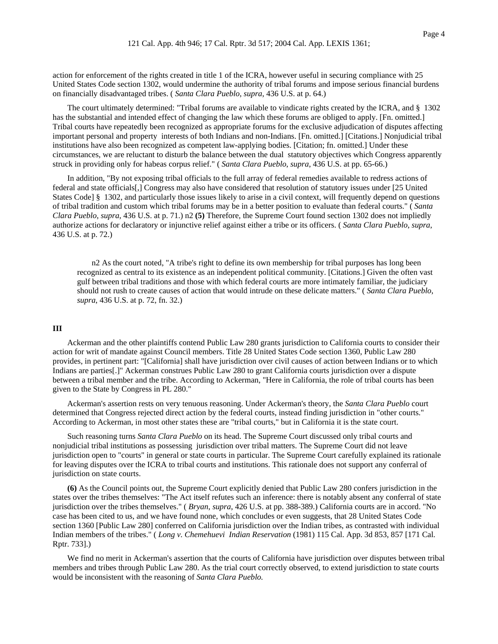action for enforcement of the rights created in title 1 of the ICRA, however useful in securing compliance with 25 United States Code section 1302, would undermine the authority of tribal forums and impose serious financial burdens on financially disadvantaged tribes. ( *Santa Clara Pueblo*, *supra*, 436 U.S. at p. 64.)

The court ultimately determined: "Tribal forums are available to vindicate rights created by the ICRA, and § 1302 has the substantial and intended effect of changing the law which these forums are obliged to apply. [Fn. omitted.] Tribal courts have repeatedly been recognized as appropriate forums for the exclusive adjudication of disputes affecting important personal and property interests of both Indians and non-Indians. [Fn. omitted.] [Citations.] Nonjudicial tribal institutions have also been recognized as competent law-applying bodies. [Citation; fn. omitted.] Under these circumstances, we are reluctant to disturb the balance between the dual statutory objectives which Congress apparently struck in providing only for habeas corpus relief." ( *Santa Clara Pueblo*, *supra*, 436 U.S. at pp. 65-66.)

In addition, "By not exposing tribal officials to the full array of federal remedies available to redress actions of federal and state officials[,] Congress may also have considered that resolution of statutory issues under [25 United States Code] § 1302, and particularly those issues likely to arise in a civil context, will frequently depend on questions of tribal tradition and custom which tribal forums may be in a better position to evaluate than federal courts." ( *Santa Clara Pueblo*, *supra*, 436 U.S. at p. 71.) n2 **(5)** Therefore, the Supreme Court found section 1302 does not impliedly authorize actions for declaratory or injunctive relief against either a tribe or its officers. ( *Santa Clara Pueblo*, *supra*, 436 U.S. at p. 72.)

n2 As the court noted, "A tribe's right to define its own membership for tribal purposes has long been recognized as central to its existence as an independent political community. [Citations.] Given the often vast gulf between tribal traditions and those with which federal courts are more intimately familiar, the judiciary should not rush to create causes of action that would intrude on these delicate matters." ( *Santa Clara Pueblo*, *supra*, 436 U.S. at p. 72, fn. 32.)

## **III**

Ackerman and the other plaintiffs contend Public Law 280 grants jurisdiction to California courts to consider their action for writ of mandate against Council members. Title 28 United States Code section 1360, Public Law 280 provides, in pertinent part: "[California] shall have jurisdiction over civil causes of action between Indians or to which Indians are parties[.]" Ackerman construes Public Law 280 to grant California courts jurisdiction over a dispute between a tribal member and the tribe. According to Ackerman, "Here in California, the role of tribal courts has been given to the State by Congress in PL 280."

Ackerman's assertion rests on very tenuous reasoning. Under Ackerman's theory, the *Santa Clara Pueblo* court determined that Congress rejected direct action by the federal courts, instead finding jurisdiction in "other courts." According to Ackerman, in most other states these are "tribal courts," but in California it is the state court.

Such reasoning turns *Santa Clara Pueblo* on its head. The Supreme Court discussed only tribal courts and nonjudicial tribal institutions as possessing jurisdiction over tribal matters. The Supreme Court did not leave jurisdiction open to "courts" in general or state courts in particular. The Supreme Court carefully explained its rationale for leaving disputes over the ICRA to tribal courts and institutions. This rationale does not support any conferral of jurisdiction on state courts.

**(6)** As the Council points out, the Supreme Court explicitly denied that Public Law 280 confers jurisdiction in the states over the tribes themselves: "The Act itself refutes such an inference: there is notably absent any conferral of state jurisdiction over the tribes themselves." ( *Bryan*, *supra*, 426 U.S. at pp. 388-389.) California courts are in accord. "No case has been cited to us, and we have found none, which concludes or even suggests, that 28 United States Code section 1360 [Public Law 280] conferred on California jurisdiction over the Indian tribes, as contrasted with individual Indian members of the tribes." ( *Long v. Chemehuevi Indian Reservation* (1981) 115 Cal. App. 3d 853, 857 [171 Cal. Rptr. 733].)

We find no merit in Ackerman's assertion that the courts of California have jurisdiction over disputes between tribal members and tribes through Public Law 280. As the trial court correctly observed, to extend jurisdiction to state courts would be inconsistent with the reasoning of *Santa Clara Pueblo.*